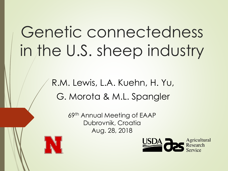# Genetic connectedness in the U.S. sheep industry

#### R.M. Lewis, L.A. Kuehn, H. Yu, G. Morota & M.L. Spangler

69th Annual Meeting of EAAP Dubrovnik, Croatia Aug. 28, 2018



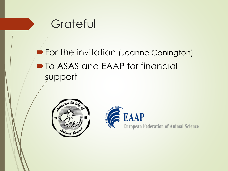

**For the invitation (Joanne Conington)**  $\blacksquare$  To ASAS and EAAP for financial support



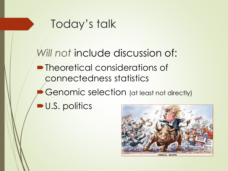### Today's talk

Will not include discussion of: • Theoretical considerations of connectedness statistics

Genomic selection (at least not directly)

U.S. politics

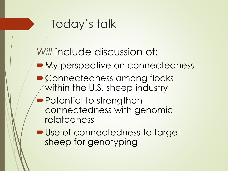## Today's talk

#### *Will* include discussion of:

- My perspective on connectedness
- Connectedness among flocks within the U.S. sheep industry
- **Potential to strengthen** connectedness with genomic relatedness
- Use of connectedness to target sheep for genotyping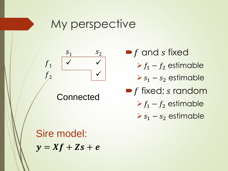#### My perspective



 $\blacktriangleright$  f and s fixed  $\triangleright f_1 - f_2$  estimable  $\triangleright$   $s_1$  –  $s_2$  estimable  $\blacktriangleright$  f fixed; s random

 $\triangleright f_1 - f_2$  estimable

 $S_1 - S_2$  estimable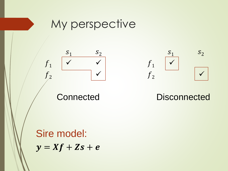



 $S_2$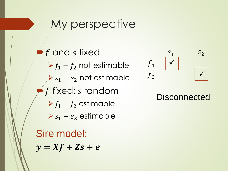#### My perspective

Sire model:  $\blacktriangleright$  f and s fixed  $\triangleright f_1 - f_2$  not estimable  $s_1 - s_2$  not estimable  $f$  fixed;  $s$  random  $\triangleright$   $f_1 - f_2$  estimable  $\triangleright$   $s_1$  –  $s_2$  estimable

 $y = Xf + Zs + e$ 



#### **Disconnected**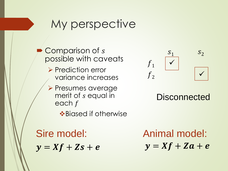#### My perspective

Comparison of s possible with caveats

- ➢ Prediction error variance increases
- ➢ Presumes average merit of *s* equal in each f

❖Biased if otherwise



#### **Disconnected**

 $y = Xf + Zs + e$ Sire model:

 $y = Xf + Za + e$ Animal model: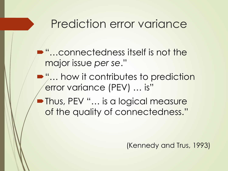#### Prediction error variance

- "…connectedness itself is not the major issue *per se*."
- $\blacktriangleright$ "... how it contributes to prediction error variance (PEV) … is"
- Thus, PEV "... is a logical measure of the quality of connectedness."

(Kennedy and Trus, 1993)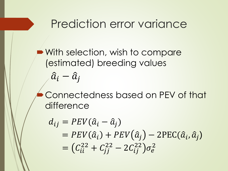#### Prediction error variance

- With selection, wish to compare (estimated) breeding values  $\hat{a}_i - \hat{a}_j$
- Connectedness based on PEV of that difference

$$
d_{ij} = PEV(\hat{a}_i - \hat{a}_j)
$$
  
= PEV(\hat{a}\_i) + PEV(\hat{a}\_j) - 2PEC(\hat{a}\_i, \hat{a}\_j)  
= (C\_{ii}^{22} + C\_{jj}^{22} - 2C\_{ij}^{22})\sigma\_e^2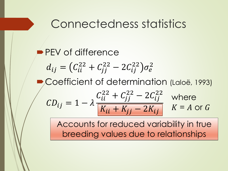#### Connectedness statistics

**PEV** of difference Coefficient of determination (Laloë, 1993)  $d_{ij} = (C_{ii}^{22} + C_{jj}^{22} - 2C_{ij}^{22})\sigma_e^2$  $CD_{ij} = 1 - \lambda$  $C_{ii}^{22} + C_{jj}^{22} - 2C_{ij}^{22}$  $K_{ii} + K_{jj} - 2K_{ij}$ where  $K = A$  or  $G$ 

> Accounts for reduced variability in true breeding values due to relationships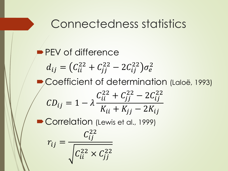#### Connectedness statistics

**PEV** of difference Coefficient of determination (Laloë, 1993) Correlation (Lewis et al., 1999)  $d_{ij} = (C_{ii}^{22} + C_{jj}^{22} - 2C_{ij}^{22})\sigma_e^2$  $CD_{ij} = 1 - \lambda$  $C_{ii}^{22} + C_{jj}^{22} - 2C_{ij}^{22}$  $K_{ii} + K_{jj} - 2K_{ij}$  $r_{ij} =$  $C_{ij}^{22}$  $C_{ii}^{22} \times C_{jj}^{22}$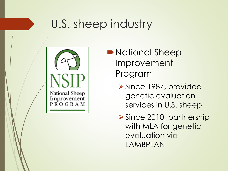

- National Sheep Improvement Program
	- ➢Since 1987, provided genetic evaluation services in U.S. sheep

➢Since 2010, partnership with MLA for genetic evaluation via LAMBPLAN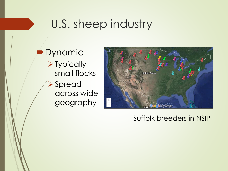Dynamic ➢Typically small flocks ➢Spread across wide geography



#### Suffolk breeders in NSIP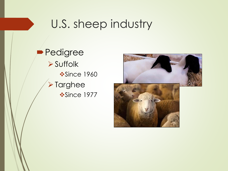**Pedigree** ➢Suffolk **❖Since 1960** ➢Targhee ❖Since 1977

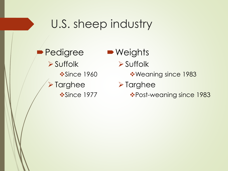**Pedigree** ➢Suffolk **❖Since 1960** ➢Targhee ❖Since 1977 ■ Weights ➢Suffolk ❖Weaning since 1983 ➢Targhee ❖Post-weaning since 1983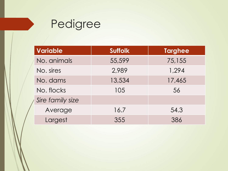

| <b>Variable</b>  | <b>Suffolk</b> | <b>Targhee</b> |
|------------------|----------------|----------------|
| No. animals      | 55,599         | 75,155         |
| No. sires        | 2,989          | 1,294          |
| No. dams         | 13,534         | 17,465         |
| No. flocks       | 105            | 56             |
| Sire family size |                |                |
| Average          | 16.7           | 54.3           |
| Largest          | 355            | 386            |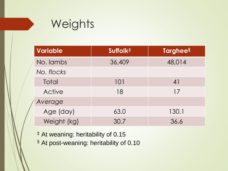#### **Weights**

| <b>Variable</b> | Suffolk <sup>‡</sup> | <b>Targhees</b> |
|-----------------|----------------------|-----------------|
| No. lambs       | 36,409               | 48,014          |
| No. flocks      |                      |                 |
| Total           | 101                  | 4               |
| Active          | 18                   | 17              |
| Average         |                      |                 |
| Age (day)       | 63.0                 | 130.1           |
| Weight (kg)     | 30.7                 | 36.6            |

‡ At weaning: heritability of 0.15

§ At post-weaning: heritability of 0.10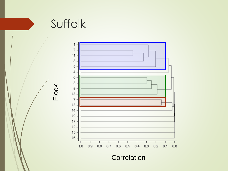



**Correlation**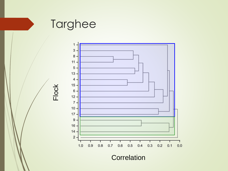



**Correlation**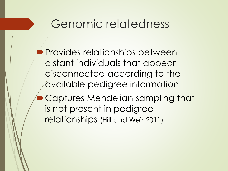- **Provides relationships between** distant individuals that appear disconnected according to the available pedigree information
- Captures Mendelian sampling that is not present in pedigree relationships (Hill and Weir 2011)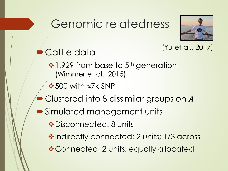

#### (Yu et al., 2017)

Cattle data ❖ 1,929 from base to 5<sup>th</sup> generation (Wimmer et al., 2015)  $\cdot$  500 with  $\approx$ 7k SNP Clustered into 8 dissimilar groups on  $A$ Simulated management units ❖Disconnected: 8 units ❖Indirectly connected: 2 units; 1/3 across ❖Connected: 2 units; equally allocated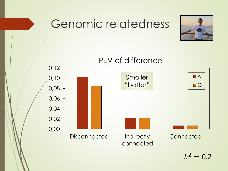

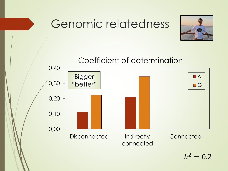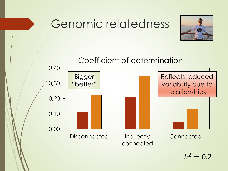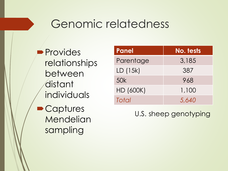**Provides** relationships between distant individuals Captures **Mendelian** sampling

| <b>Panel</b>     | No. tests |
|------------------|-----------|
| Parentage        | 3,185     |
| LD (15k)         | 387       |
| 50k              | 968       |
| <b>HD (600K)</b> | 1,100     |
| Total            | 5.640     |

U.S. sheep genotyping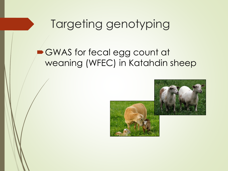#### GWAS for fecal egg count at weaning (WFEC) in Katahdin sheep

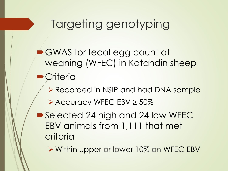- GWAS for fecal egg count at weaning (WFEC) in Katahdin sheep
- **Criteria** 
	- ➢Recorded in NSIP and had DNA sample
	- $\triangleright$  Accuracy WFEC EBV  $\geq 50\%$
- Selected 24 high and 24 low WFEC EBV animals from 1,111 that met criteria
	- ➢Within upper or lower 10% on WFEC EBV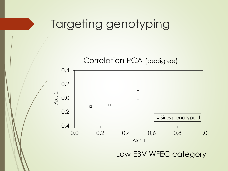

Low EBV WFEC category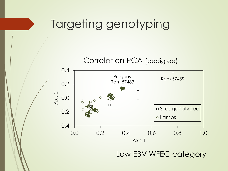

Low EBV WFEC category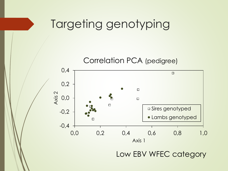

Low EBV WFEC category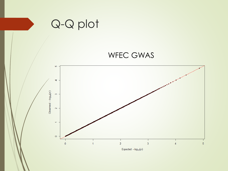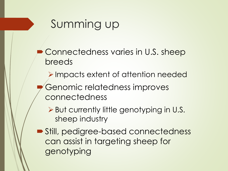## Summing up

- Connectedness varies in U.S. sheep breeds
	- ➢Impacts extent of attention needed
- Genomic relatedness improves connectedness
	- ➢But currently little genotyping in U.S. sheep industry
- Still, pedigree-based connectedness can assist in targeting sheep for genotyping